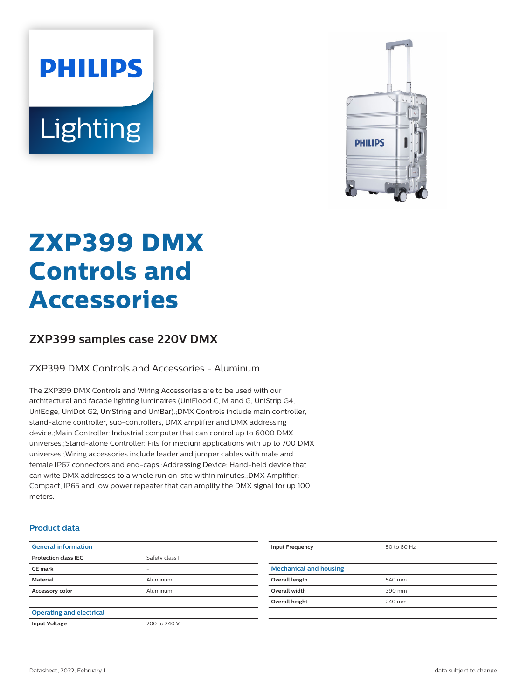# **PHILIPS** Lighting



# **ZXP399 DMX Controls and Accessories**

## **ZXP399 samples case 220V DMX**

#### ZXP399 DMX Controls and Accessories - Aluminum

The ZXP399 DMX Controls and Wiring Accessories are to be used with our architectural and facade lighting luminaires (UniFlood C, M and G, UniStrip G4, UniEdge, UniDot G2, UniString and UniBar).;DMX Controls include main controller, stand-alone controller, sub-controllers, DMX amplifier and DMX addressing device.;Main Controller: Industrial computer that can control up to 6000 DMX universes.;Stand-alone Controller: Fits for medium applications with up to 700 DMX universes.;Wiring accessories include leader and jumper cables with male and female IP67 connectors and end-caps.;Addressing Device: Hand-held device that can write DMX addresses to a whole run on-site within minutes.;DMX Amplifier: Compact, IP65 and low power repeater that can amplify the DMX signal for up 100 meters.

#### **Product data**

|                             | <b>Input Frequency</b>        | 50 to 60 Hz |
|-----------------------------|-------------------------------|-------------|
| Safety class I              |                               |             |
| -                           | <b>Mechanical and housing</b> |             |
| Aluminum                    | Overall length                | 540 mm      |
| Accessory color<br>Aluminum | Overall width                 | 390 mm      |
|                             | Overall height                | 240 mm      |
|                             |                               |             |
| 200 to 240 V                |                               |             |
|                             |                               |             |